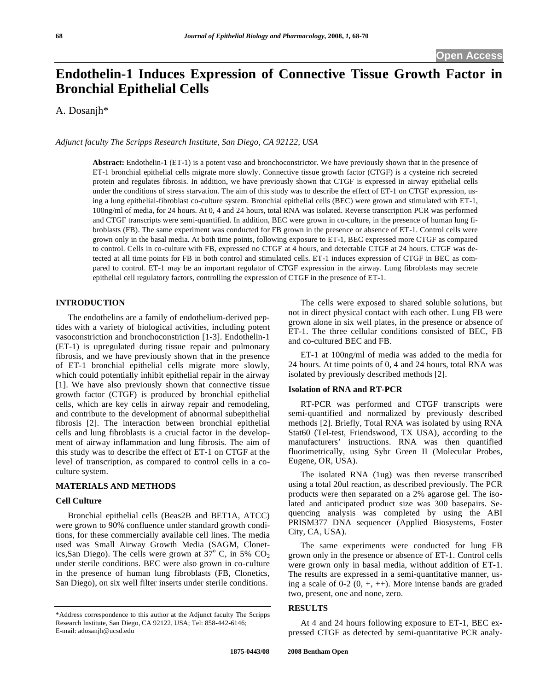# **Endothelin-1 Induces Expression of Connective Tissue Growth Factor in Bronchial Epithelial Cells**

A. Dosanjh\*

*Adjunct faculty The Scripps Research Institute, San Diego, CA 92122, USA* 

**Abstract:** Endothelin-1 (ET-1) is a potent vaso and bronchoconstrictor. We have previously shown that in the presence of ET-1 bronchial epithelial cells migrate more slowly. Connective tissue growth factor (CTGF) is a cysteine rich secreted protein and regulates fibrosis. In addition, we have previously shown that CTGF is expressed in airway epithelial cells under the conditions of stress starvation. The aim of this study was to describe the effect of ET-1 on CTGF expression, using a lung epithelial-fibroblast co-culture system. Bronchial epithelial cells (BEC) were grown and stimulated with ET-1, 100ng/ml of media, for 24 hours. At 0, 4 and 24 hours, total RNA was isolated. Reverse transcription PCR was performed and CTGF transcripts were semi-quantified. In addition, BEC were grown in co-culture, in the presence of human lung fibroblasts (FB). The same experiment was conducted for FB grown in the presence or absence of ET-1. Control cells were grown only in the basal media. At both time points, following exposure to ET-1, BEC expressed more CTGF as compared to control. Cells in co-culture with FB, expressed no CTGF at 4 hours, and detectable CTGF at 24 hours. CTGF was detected at all time points for FB in both control and stimulated cells. ET-1 induces expression of CTGF in BEC as compared to control. ET-1 may be an important regulator of CTGF expression in the airway. Lung fibroblasts may secrete epithelial cell regulatory factors, controlling the expression of CTGF in the presence of ET-1.

### **INTRODUCTION**

 The endothelins are a family of endothelium-derived peptides with a variety of biological activities, including potent vasoconstriction and bronchoconstriction [1-3]. Endothelin-1 (ET-1) is upregulated during tissue repair and pulmonary fibrosis, and we have previously shown that in the presence of ET-1 bronchial epithelial cells migrate more slowly, which could potentially inhibit epithelial repair in the airway [1]. We have also previously shown that connective tissue growth factor (CTGF) is produced by bronchial epithelial cells, which are key cells in airway repair and remodeling, and contribute to the development of abnormal subepithelial fibrosis [2]. The interaction between bronchial epithelial cells and lung fibroblasts is a crucial factor in the development of airway inflammation and lung fibrosis. The aim of this study was to describe the effect of ET-1 on CTGF at the level of transcription, as compared to control cells in a coculture system.

### **MATERIALS AND METHODS**

### **Cell Culture**

 Bronchial epithelial cells (Beas2B and BET1A, ATCC) were grown to 90% confluence under standard growth conditions, for these commercially available cell lines. The media used was Small Airway Growth Media (SAGM, Clonetics,San Diego). The cells were grown at  $37^{\circ}$  C, in 5% CO<sub>2</sub> under sterile conditions. BEC were also grown in co-culture in the presence of human lung fibroblasts (FB, Clonetics, San Diego), on six well filter inserts under sterile conditions.

 The cells were exposed to shared soluble solutions, but not in direct physical contact with each other. Lung FB were grown alone in six well plates, in the presence or absence of ET-1. The three cellular conditions consisted of BEC, FB and co-cultured BEC and FB.

 ET-1 at 100ng/ml of media was added to the media for 24 hours. At time points of 0, 4 and 24 hours, total RNA was isolated by previously described methods [2].

## **Isolation of RNA and RT-PCR**

RT-PCR was performed and CTGF transcripts were semi-quantified and normalized by previously described methods [2]. Briefly, Total RNA was isolated by using RNA Stat60 (Tel-test, Friendswood, TX USA), according to the manufacturers' instructions. RNA was then quantified fluorimetrically, using Sybr Green II (Molecular Probes, Eugene, OR, USA).

 The isolated RNA (1ug) was then reverse transcribed using a total 20ul reaction, as described previously. The PCR products were then separated on a 2% agarose gel. The isolated and anticipated product size was 300 basepairs. Sequencing analysis was completed by using the ABI PRISM377 DNA sequencer (Applied Biosystems, Foster City, CA, USA).

 The same experiments were conducted for lung FB grown only in the presence or absence of ET-1. Control cells were grown only in basal media, without addition of ET-1. The results are expressed in a semi-quantitative manner, using a scale of  $0-2$   $(0, +, ++)$ . More intense bands are graded two, present, one and none, zero.

### **RESULTS**

 At 4 and 24 hours following exposure to ET-1, BEC expressed CTGF as detected by semi-quantitative PCR analy-

<sup>\*</sup>Address correspondence to this author at the Adjunct faculty The Scripps Research Institute, San Diego, CA 92122, USA; Tel: 858-442-6146; E-mail: adosanjh@ucsd.edu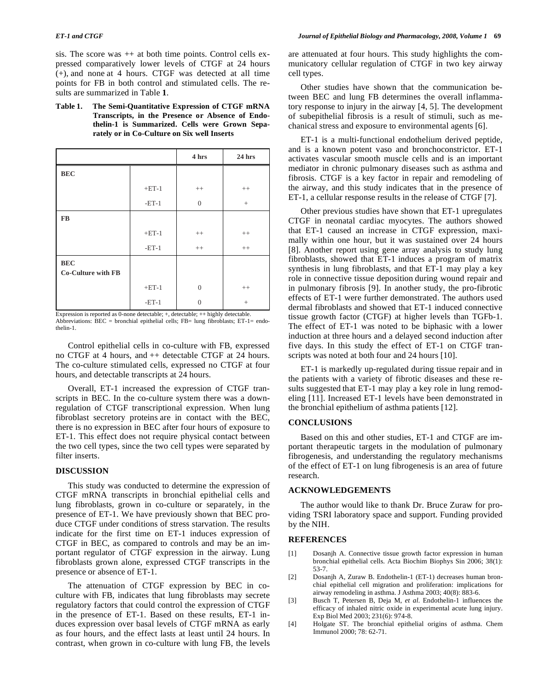sis. The score was  $++$  at both time points. Control cells expressed comparatively lower levels of CTGF at 24 hours (+), and none at 4 hours. CTGF was detected at all time points for FB in both control and stimulated cells. The results are summarized in Table **1**.

**Table 1. The Semi-Quantitative Expression of CTGF mRNA Transcripts, in the Presence or Absence of Endothelin-1 is Summarized. Cells were Grown Separately or in Co-Culture on Six well Inserts** 

|                                         |         | 4 hrs    | 24 hrs            |
|-----------------------------------------|---------|----------|-------------------|
| <b>BEC</b>                              |         |          |                   |
|                                         | $+ET-1$ | $++$     | $^{++}$           |
|                                         | $-ET-1$ | $\theta$ | $\qquad \qquad +$ |
| <b>FB</b>                               |         |          |                   |
|                                         | $+ET-1$ | $++$     | $^{++}$           |
|                                         | $-ET-1$ | $++$     | $++$              |
| <b>BEC</b><br><b>Co-Culture with FB</b> |         |          |                   |
|                                         | $+ET-1$ | $\theta$ | $++$              |
|                                         | $-ET-1$ | $\Omega$ | $^{+}$            |

Expression is reported as 0-none detectable; +, detectable; ++ highly detectable. Abbreviations:  $BEC =$  bronchial epithelial cells;  $FB =$  lung fibroblasts;  $ET-1 =$  endothelin-1.

 Control epithelial cells in co-culture with FB, expressed no CTGF at 4 hours, and ++ detectable CTGF at 24 hours. The co-culture stimulated cells, expressed no CTGF at four hours, and detectable transcripts at 24 hours.

 Overall, ET-1 increased the expression of CTGF transcripts in BEC. In the co-culture system there was a downregulation of CTGF transcriptional expression. When lung fibroblast secretory proteins are in contact with the BEC, there is no expression in BEC after four hours of exposure to ET-1. This effect does not require physical contact between the two cell types, since the two cell types were separated by filter inserts.

### **DISCUSSION**

 This study was conducted to determine the expression of CTGF mRNA transcripts in bronchial epithelial cells and lung fibroblasts, grown in co-culture or separately, in the presence of ET-1. We have previously shown that BEC produce CTGF under conditions of stress starvation. The results indicate for the first time on ET-1 induces expression of CTGF in BEC, as compared to controls and may be an important regulator of CTGF expression in the airway. Lung fibroblasts grown alone, expressed CTGF transcripts in the presence or absence of ET-1.

 The attenuation of CTGF expression by BEC in coculture with FB, indicates that lung fibroblasts may secrete regulatory factors that could control the expression of CTGF in the presence of ET-1. Based on these results, ET-1 induces expression over basal levels of CTGF mRNA as early as four hours, and the effect lasts at least until 24 hours. In contrast, when grown in co-culture with lung FB, the levels are attenuated at four hours. This study highlights the communicatory cellular regulation of CTGF in two key airway cell types.

 Other studies have shown that the communication between BEC and lung FB determines the overall inflammatory response to injury in the airway [4, 5]. The development of subepithelial fibrosis is a result of stimuli, such as mechanical stress and exposure to environmental agents [6].

 ET-1 is a multi-functional endothelium derived peptide, and is a known potent vaso and bronchoconstrictor. ET-1 activates vascular smooth muscle cells and is an important mediator in chronic pulmonary diseases such as asthma and fibrosis. CTGF is a key factor in repair and remodeling of the airway, and this study indicates that in the presence of ET-1, a cellular response results in the release of CTGF [7].

 Other previous studies have shown that ET-1 upregulates CTGF in neonatal cardiac myocytes. The authors showed that ET-1 caused an increase in CTGF expression, maximally within one hour, but it was sustained over 24 hours [8]. Another report using gene array analysis to study lung fibroblasts, showed that ET-1 induces a program of matrix synthesis in lung fibroblasts, and that ET-1 may play a key role in connective tissue deposition during wound repair and in pulmonary fibrosis [9]. In another study, the pro-fibrotic effects of ET-1 were further demonstrated. The authors used dermal fibroblasts and showed that ET-1 induced connective tissue growth factor (CTGF) at higher levels than TGFb-1. The effect of ET-1 was noted to be biphasic with a lower induction at three hours and a delayed second induction after five days. In this study the effect of ET-1 on CTGF transcripts was noted at both four and 24 hours [10].

 ET-1 is markedly up-regulated during tissue repair and in the patients with a variety of fibrotic diseases and these results suggested that ET-1 may play a key role in lung remodeling [11]. Increased ET-1 levels have been demonstrated in the bronchial epithelium of asthma patients [12].

### **CONCLUSIONS**

 Based on this and other studies, ET-1 and CTGF are important therapeutic targets in the modulation of pulmonary fibrogenesis, and understanding the regulatory mechanisms of the effect of ET-1 on lung fibrogenesis is an area of future research.

### **ACKNOWLEDGEMENTS**

 The author would like to thank Dr. Bruce Zuraw for providing TSRI laboratory space and support. Funding provided by the NIH.

### **REFERENCES**

- [1] Dosanjh A. Connective tissue growth factor expression in human bronchial epithelial cells. Acta Biochim Biophys Sin 2006; 38(1): 53-7.
- [2] Dosanjh A, Zuraw B. Endothelin-1 (ET-1) decreases human bronchial epithelial cell migration and proliferation: implications for airway remodeling in asthma. J Asthma 2003; 40(8): 883-6.
- [3] Busch T, Petersen B, Deja M, *et al*. Endothelin-1 influences the efficacy of inhaled nitric oxide in experimental acute lung injury. Exp Biol Med 2003; 231(6): 974-8.
- [4] Holgate ST. The bronchial epithelial origins of asthma. Chem Immunol 2000; 78: 62-71.